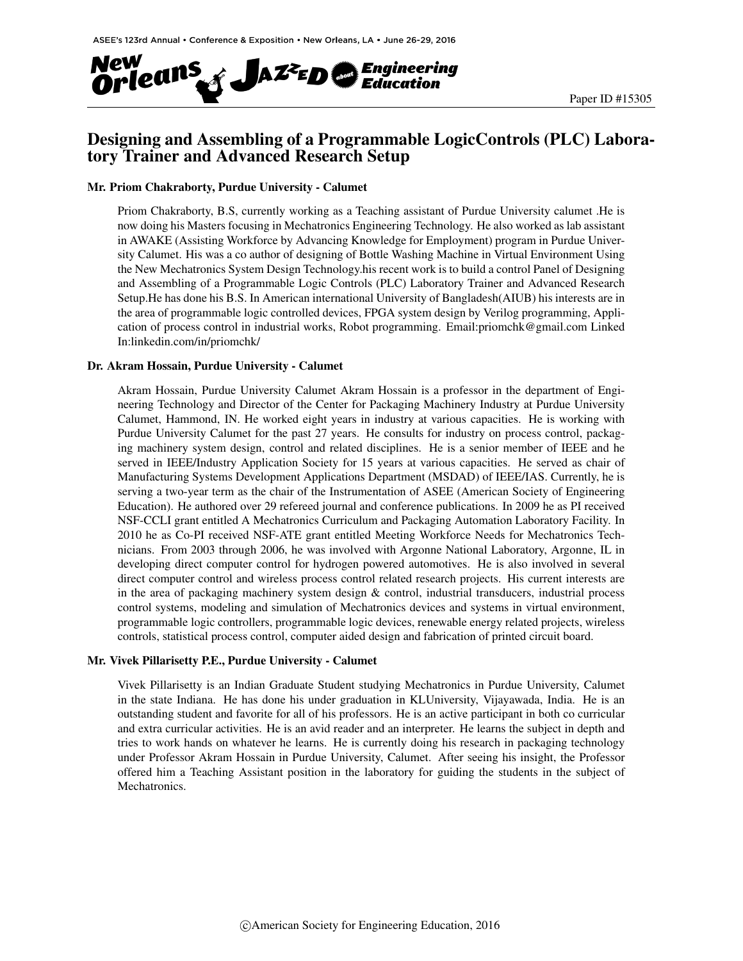

## Designing and Assembling of a Programmable LogicControls (PLC) Laboratory Trainer and Advanced Research Setup

#### Mr. Priom Chakraborty, Purdue University - Calumet

Priom Chakraborty, B.S, currently working as a Teaching assistant of Purdue University calumet .He is now doing his Masters focusing in Mechatronics Engineering Technology. He also worked as lab assistant in AWAKE (Assisting Workforce by Advancing Knowledge for Employment) program in Purdue University Calumet. His was a co author of designing of Bottle Washing Machine in Virtual Environment Using the New Mechatronics System Design Technology.his recent work is to build a control Panel of Designing and Assembling of a Programmable Logic Controls (PLC) Laboratory Trainer and Advanced Research Setup.He has done his B.S. In American international University of Bangladesh(AIUB) his interests are in the area of programmable logic controlled devices, FPGA system design by Verilog programming, Application of process control in industrial works, Robot programming. Email:priomchk@gmail.com Linked In:linkedin.com/in/priomchk/

#### Dr. Akram Hossain, Purdue University - Calumet

Akram Hossain, Purdue University Calumet Akram Hossain is a professor in the department of Engineering Technology and Director of the Center for Packaging Machinery Industry at Purdue University Calumet, Hammond, IN. He worked eight years in industry at various capacities. He is working with Purdue University Calumet for the past 27 years. He consults for industry on process control, packaging machinery system design, control and related disciplines. He is a senior member of IEEE and he served in IEEE/Industry Application Society for 15 years at various capacities. He served as chair of Manufacturing Systems Development Applications Department (MSDAD) of IEEE/IAS. Currently, he is serving a two-year term as the chair of the Instrumentation of ASEE (American Society of Engineering Education). He authored over 29 refereed journal and conference publications. In 2009 he as PI received NSF-CCLI grant entitled A Mechatronics Curriculum and Packaging Automation Laboratory Facility. In 2010 he as Co-PI received NSF-ATE grant entitled Meeting Workforce Needs for Mechatronics Technicians. From 2003 through 2006, he was involved with Argonne National Laboratory, Argonne, IL in developing direct computer control for hydrogen powered automotives. He is also involved in several direct computer control and wireless process control related research projects. His current interests are in the area of packaging machinery system design  $\&$  control, industrial transducers, industrial process control systems, modeling and simulation of Mechatronics devices and systems in virtual environment, programmable logic controllers, programmable logic devices, renewable energy related projects, wireless controls, statistical process control, computer aided design and fabrication of printed circuit board.

#### Mr. Vivek Pillarisetty P.E., Purdue University - Calumet

Vivek Pillarisetty is an Indian Graduate Student studying Mechatronics in Purdue University, Calumet in the state Indiana. He has done his under graduation in KLUniversity, Vijayawada, India. He is an outstanding student and favorite for all of his professors. He is an active participant in both co curricular and extra curricular activities. He is an avid reader and an interpreter. He learns the subject in depth and tries to work hands on whatever he learns. He is currently doing his research in packaging technology under Professor Akram Hossain in Purdue University, Calumet. After seeing his insight, the Professor offered him a Teaching Assistant position in the laboratory for guiding the students in the subject of Mechatronics.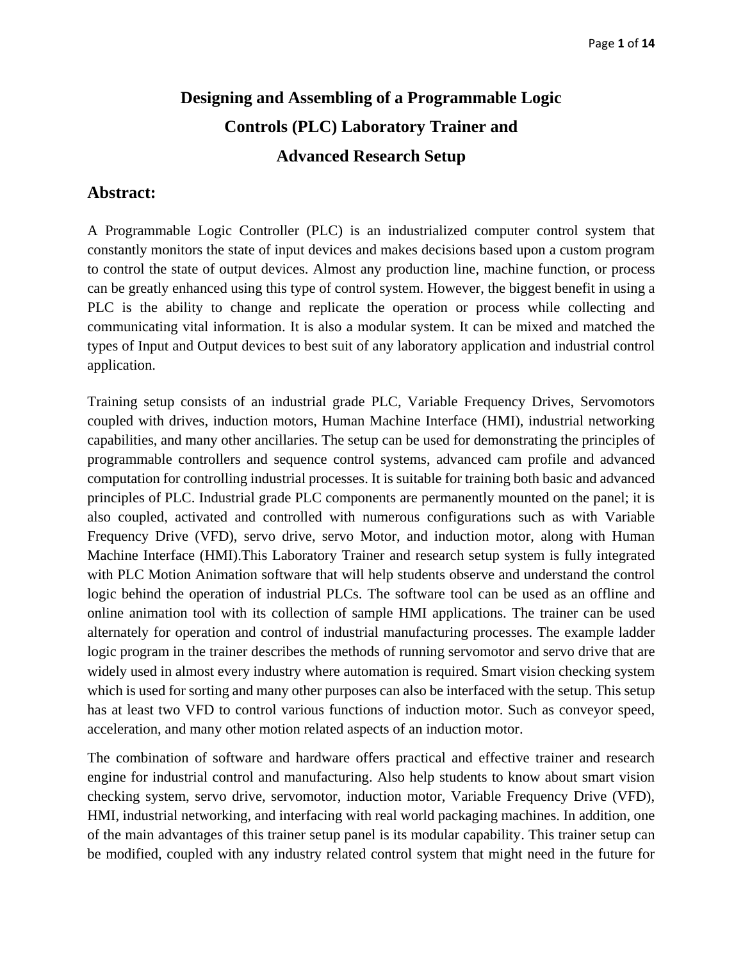# **Designing and Assembling of a Programmable Logic Controls (PLC) Laboratory Trainer and Advanced Research Setup**

# **Abstract:**

A Programmable Logic Controller (PLC) is an industrialized computer control system that constantly monitors the state of input devices and makes decisions based upon a custom program to control the state of output devices. Almost any production line, machine function, or process can be greatly enhanced using this type of control system. However, the biggest benefit in using a PLC is the ability to change and replicate the operation or process while collecting and communicating vital information. It is also a modular system. It can be mixed and matched the types of Input and Output devices to best suit of any laboratory application and industrial control application.

Training setup consists of an industrial grade PLC, Variable Frequency Drives, Servomotors coupled with drives, induction motors, Human Machine Interface (HMI), industrial networking capabilities, and many other ancillaries. The setup can be used for demonstrating the principles of programmable controllers and sequence control systems, advanced cam profile and advanced computation for controlling industrial processes. It is suitable for training both basic and advanced principles of PLC. Industrial grade PLC components are permanently mounted on the panel; it is also coupled, activated and controlled with numerous configurations such as with Variable Frequency Drive (VFD), servo drive, servo Motor, and induction motor, along with Human Machine Interface (HMI).This Laboratory Trainer and research setup system is fully integrated with PLC Motion Animation software that will help students observe and understand the control logic behind the operation of industrial PLCs. The software tool can be used as an offline and online animation tool with its collection of sample HMI applications. The trainer can be used alternately for operation and control of industrial manufacturing processes. The example ladder logic program in the trainer describes the methods of running servomotor and servo drive that are widely used in almost every industry where automation is required. Smart vision checking system which is used for sorting and many other purposes can also be interfaced with the setup. This setup has at least two VFD to control various functions of induction motor. Such as conveyor speed, acceleration, and many other motion related aspects of an induction motor.

The combination of software and hardware offers practical and effective trainer and research engine for industrial control and manufacturing. Also help students to know about smart vision checking system, servo drive, servomotor, induction motor, Variable Frequency Drive (VFD), HMI, industrial networking, and interfacing with real world packaging machines. In addition, one of the main advantages of this trainer setup panel is its modular capability. This trainer setup can be modified, coupled with any industry related control system that might need in the future for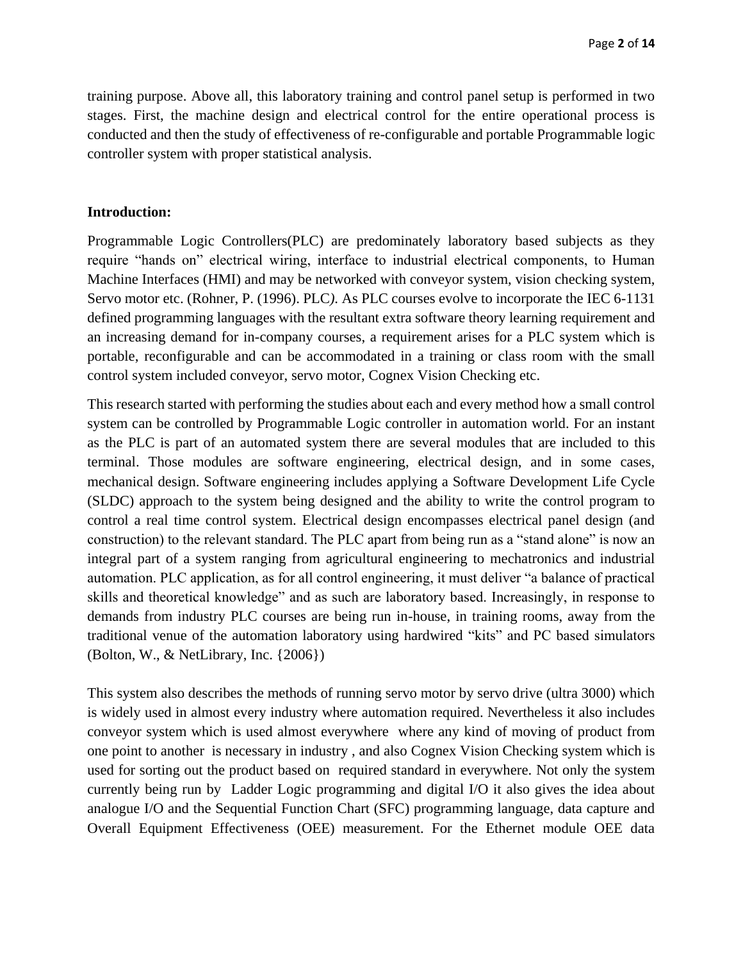training purpose. Above all, this laboratory training and control panel setup is performed in two stages. First, the machine design and electrical control for the entire operational process is conducted and then the study of effectiveness of re-configurable and portable Programmable logic controller system with proper statistical analysis.

#### **Introduction:**

Programmable Logic Controllers(PLC) are predominately laboratory based subjects as they require "hands on" electrical wiring, interface to industrial electrical components, to Human Machine Interfaces (HMI) and may be networked with conveyor system, vision checking system, Servo motor etc. (Rohner, P. (1996). PLC*)*. As PLC courses evolve to incorporate the IEC 6-1131 defined programming languages with the resultant extra software theory learning requirement and an increasing demand for in-company courses, a requirement arises for a PLC system which is portable, reconfigurable and can be accommodated in a training or class room with the small control system included conveyor, servo motor, Cognex Vision Checking etc.

This research started with performing the studies about each and every method how a small control system can be controlled by Programmable Logic controller in automation world. For an instant as the PLC is part of an automated system there are several modules that are included to this terminal. Those modules are software engineering, electrical design, and in some cases, mechanical design. Software engineering includes applying a Software Development Life Cycle (SLDC) approach to the system being designed and the ability to write the control program to control a real time control system. Electrical design encompasses electrical panel design (and construction) to the relevant standard. The PLC apart from being run as a "stand alone" is now an integral part of a system ranging from agricultural engineering to mechatronics and industrial automation. PLC application, as for all control engineering, it must deliver "a balance of practical skills and theoretical knowledge" and as such are laboratory based. Increasingly, in response to demands from industry PLC courses are being run in-house, in training rooms, away from the traditional venue of the automation laboratory using hardwired "kits" and PC based simulators (Bolton, W., & NetLibrary, Inc. {2006})

This system also describes the methods of running servo motor by servo drive (ultra 3000) which is widely used in almost every industry where automation required. Nevertheless it also includes conveyor system which is used almost everywhere where any kind of moving of product from one point to another is necessary in industry , and also Cognex Vision Checking system which is used for sorting out the product based on required standard in everywhere. Not only the system currently being run by Ladder Logic programming and digital I/O it also gives the idea about analogue I/O and the Sequential Function Chart (SFC) programming language, data capture and Overall Equipment Effectiveness (OEE) measurement. For the Ethernet module OEE data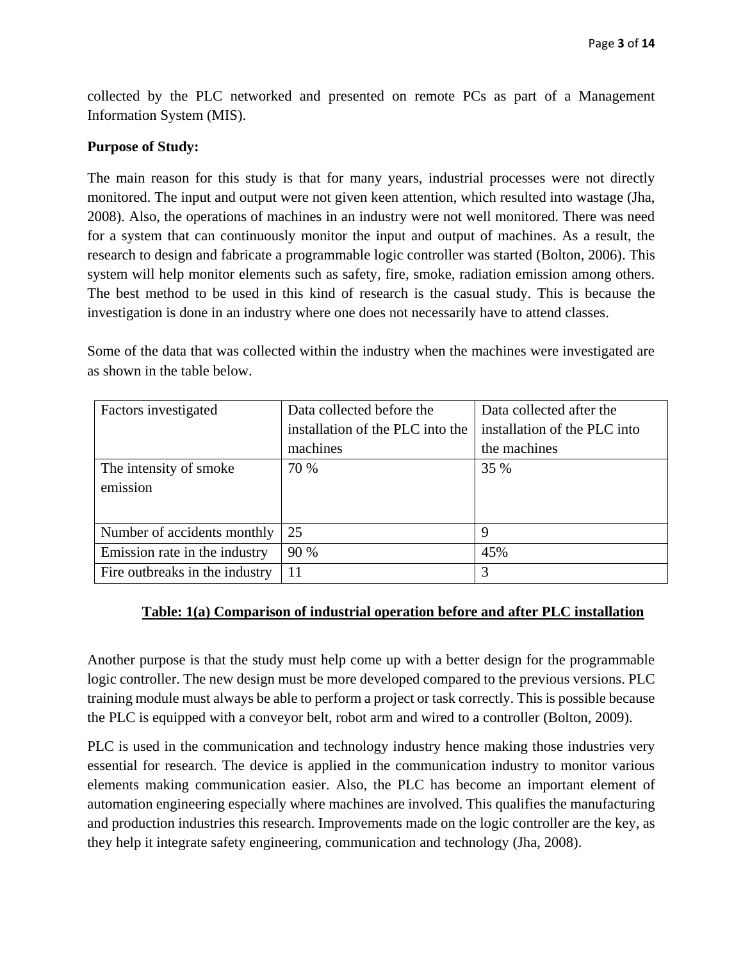collected by the PLC networked and presented on remote PCs as part of a Management Information System (MIS).

#### **Purpose of Study:**

The main reason for this study is that for many years, industrial processes were not directly monitored. The input and output were not given keen attention, which resulted into wastage (Jha, 2008). Also, the operations of machines in an industry were not well monitored. There was need for a system that can continuously monitor the input and output of machines. As a result, the research to design and fabricate a programmable logic controller was started (Bolton, 2006). This system will help monitor elements such as safety, fire, smoke, radiation emission among others. The best method to be used in this kind of research is the casual study. This is because the investigation is done in an industry where one does not necessarily have to attend classes.

Some of the data that was collected within the industry when the machines were investigated are as shown in the table below.

| Factors investigated           | Data collected before the        | Data collected after the     |
|--------------------------------|----------------------------------|------------------------------|
|                                | installation of the PLC into the | installation of the PLC into |
|                                | machines                         | the machines                 |
| The intensity of smoke         | 70 %                             | 35 %                         |
| emission                       |                                  |                              |
|                                |                                  |                              |
| Number of accidents monthly    | 25                               | 9                            |
| Emission rate in the industry  | 90 %                             | 45%                          |
| Fire outbreaks in the industry | 11                               | 3                            |

### **Table: 1(a) Comparison of industrial operation before and after PLC installation**

Another purpose is that the study must help come up with a better design for the programmable logic controller. The new design must be more developed compared to the previous versions. PLC training module must always be able to perform a project or task correctly. This is possible because the PLC is equipped with a conveyor belt, robot arm and wired to a controller (Bolton, 2009).

PLC is used in the communication and technology industry hence making those industries very essential for research. The device is applied in the communication industry to monitor various elements making communication easier. Also, the PLC has become an important element of automation engineering especially where machines are involved. This qualifies the manufacturing and production industries this research. Improvements made on the logic controller are the key, as they help it integrate safety engineering, communication and technology (Jha, 2008).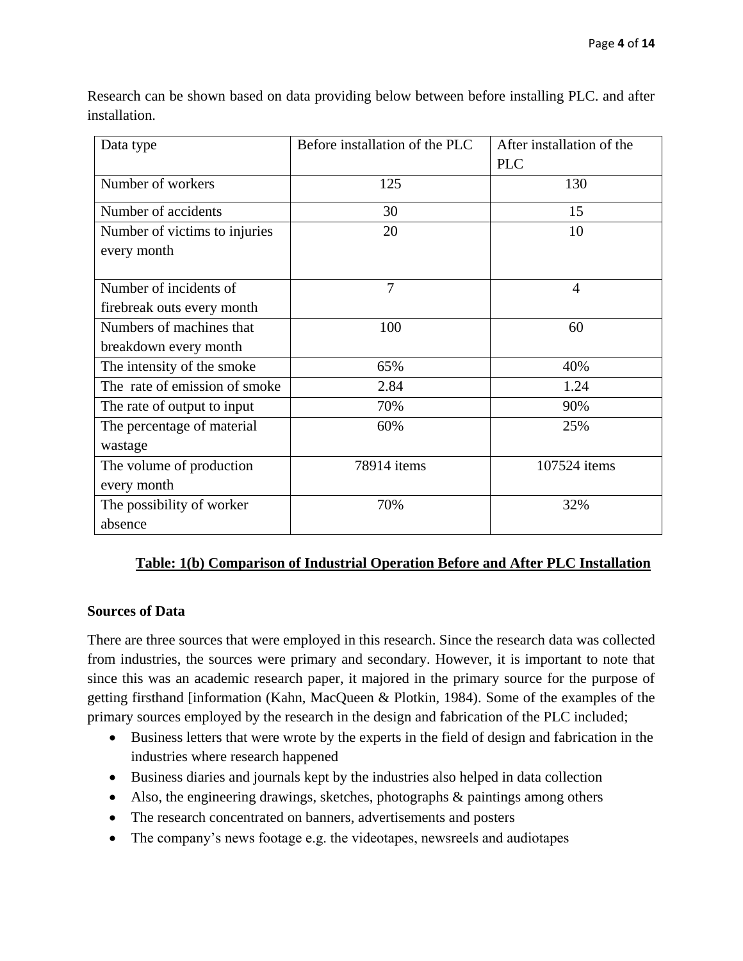| Data type                     | Before installation of the PLC | After installation of the |
|-------------------------------|--------------------------------|---------------------------|
|                               |                                | <b>PLC</b>                |
| Number of workers             | 125                            | 130                       |
| Number of accidents           | 30                             | 15                        |
| Number of victims to injuries | 20                             | 10                        |
| every month                   |                                |                           |
|                               |                                |                           |
| Number of incidents of        | 7                              | $\overline{4}$            |
| firebreak outs every month    |                                |                           |
| Numbers of machines that      | 100                            | 60                        |
| breakdown every month         |                                |                           |
| The intensity of the smoke    | 65%                            | 40%                       |
| The rate of emission of smoke | 2.84                           | 1.24                      |
| The rate of output to input   | 70%                            | 90%                       |
| The percentage of material    | 60%                            | 25%                       |
| wastage                       |                                |                           |
| The volume of production      | 78914 items                    | 107524 items              |
| every month                   |                                |                           |
| The possibility of worker     | 70%                            | 32%                       |
| absence                       |                                |                           |

Research can be shown based on data providing below between before installing PLC. and after installation.

# **Table: 1(b) Comparison of Industrial Operation Before and After PLC Installation**

### **Sources of Data**

There are three sources that were employed in this research. Since the research data was collected from industries, the sources were primary and secondary. However, it is important to note that since this was an academic research paper, it majored in the primary source for the purpose of getting firsthand [information (Kahn, MacQueen & Plotkin, 1984). Some of the examples of the primary sources employed by the research in the design and fabrication of the PLC included;

- Business letters that were wrote by the experts in the field of design and fabrication in the industries where research happened
- Business diaries and journals kept by the industries also helped in data collection
- Also, the engineering drawings, sketches, photographs & paintings among others
- The research concentrated on banners, advertisements and posters
- The company's news footage e.g. the videotapes, newsreels and audiotapes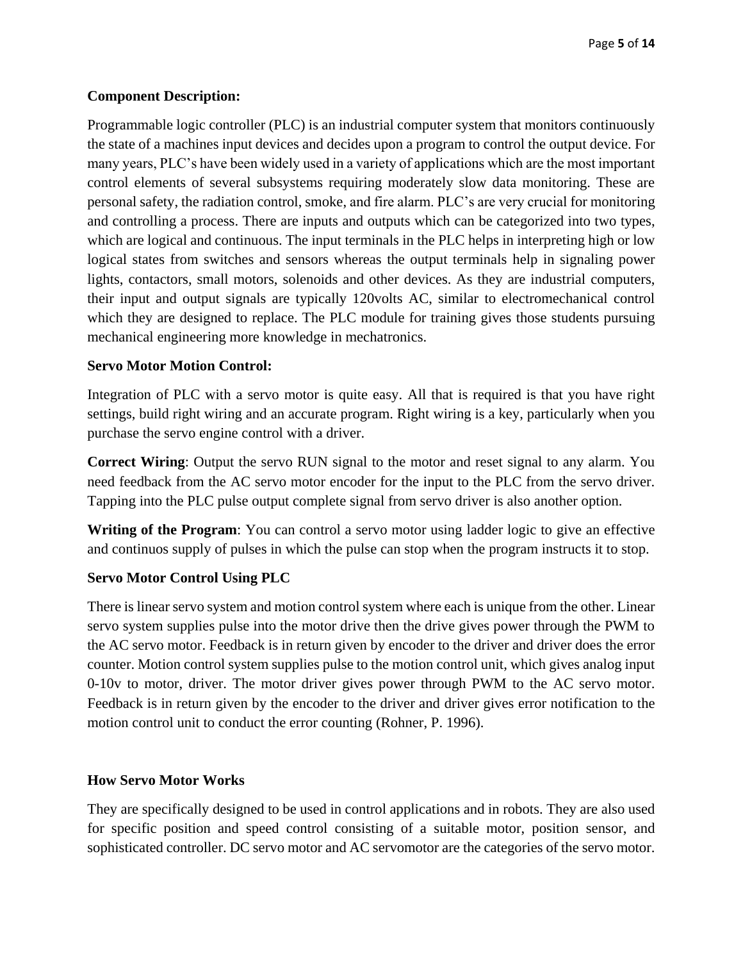## **Component Description:**

Programmable logic controller (PLC) is an industrial computer system that monitors continuously the state of a machines input devices and decides upon a program to control the output device. For many years, PLC's have been widely used in a variety of applications which are the most important control elements of several subsystems requiring moderately slow data monitoring. These are personal safety, the radiation control, smoke, and fire alarm. PLC's are very crucial for monitoring and controlling a process. There are inputs and outputs which can be categorized into two types, which are logical and continuous. The input terminals in the PLC helps in interpreting high or low logical states from switches and sensors whereas the output terminals help in signaling power lights, contactors, small motors, solenoids and other devices. As they are industrial computers, their input and output signals are typically 120volts AC, similar to electromechanical control which they are designed to replace. The PLC module for training gives those students pursuing mechanical engineering more knowledge in mechatronics.

### **Servo Motor Motion Control:**

Integration of PLC with a servo motor is quite easy. All that is required is that you have right settings, build right wiring and an accurate program. Right wiring is a key, particularly when you purchase the servo engine control with a driver.

**Correct Wiring**: Output the servo RUN signal to the motor and reset signal to any alarm. You need feedback from the AC servo motor encoder for the input to the PLC from the servo driver. Tapping into the PLC pulse output complete signal from servo driver is also another option.

**Writing of the Program**: You can control a servo motor using ladder logic to give an effective and continuos supply of pulses in which the pulse can stop when the program instructs it to stop.

# **Servo Motor Control Using PLC**

There is linear servo system and motion control system where each is unique from the other. Linear servo system supplies pulse into the motor drive then the drive gives power through the PWM to the AC servo motor. Feedback is in return given by encoder to the driver and driver does the error counter. Motion control system supplies pulse to the motion control unit, which gives analog input 0-10v to motor, driver. The motor driver gives power through PWM to the AC servo motor. Feedback is in return given by the encoder to the driver and driver gives error notification to the motion control unit to conduct the error counting (Rohner, P. 1996).

### **How Servo Motor Works**

They are specifically designed to be used in control applications and in robots. They are also used for specific position and speed control consisting of a suitable motor, position sensor, and sophisticated controller. DC servo motor and AC servomotor are the categories of the servo motor.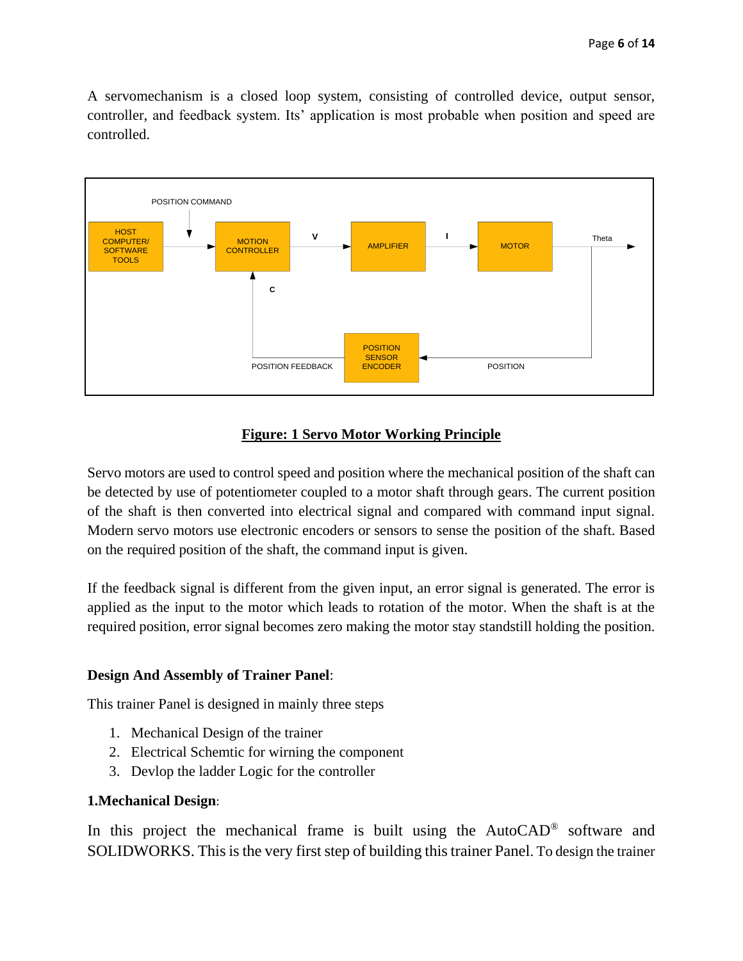A servomechanism is a closed loop system, consisting of controlled device, output sensor, controller, and feedback system. Its' application is most probable when position and speed are controlled.



# **Figure: 1 Servo Motor Working Principle**

Servo motors are used to control speed and position where the mechanical position of the shaft can be detected by use of potentiometer coupled to a motor shaft through gears. The current position of the shaft is then converted into electrical signal and compared with command input signal. Modern servo motors use electronic encoders or sensors to sense the position of the shaft. Based on the required position of the shaft, the command input is given.

If the feedback signal is different from the given input, an error signal is generated. The error is applied as the input to the motor which leads to rotation of the motor. When the shaft is at the required position, error signal becomes zero making the motor stay standstill holding the position.

### **Design And Assembly of Trainer Panel**:

This trainer Panel is designed in mainly three steps

- 1. Mechanical Design of the trainer
- 2. Electrical Schemtic for wirning the component
- 3. Devlop the ladder Logic for the controller

### **1.Mechanical Design**:

In this project the mechanical frame is built using the AutoCAD® software and SOLIDWORKS. This is the very first step of building this trainer Panel. To design the trainer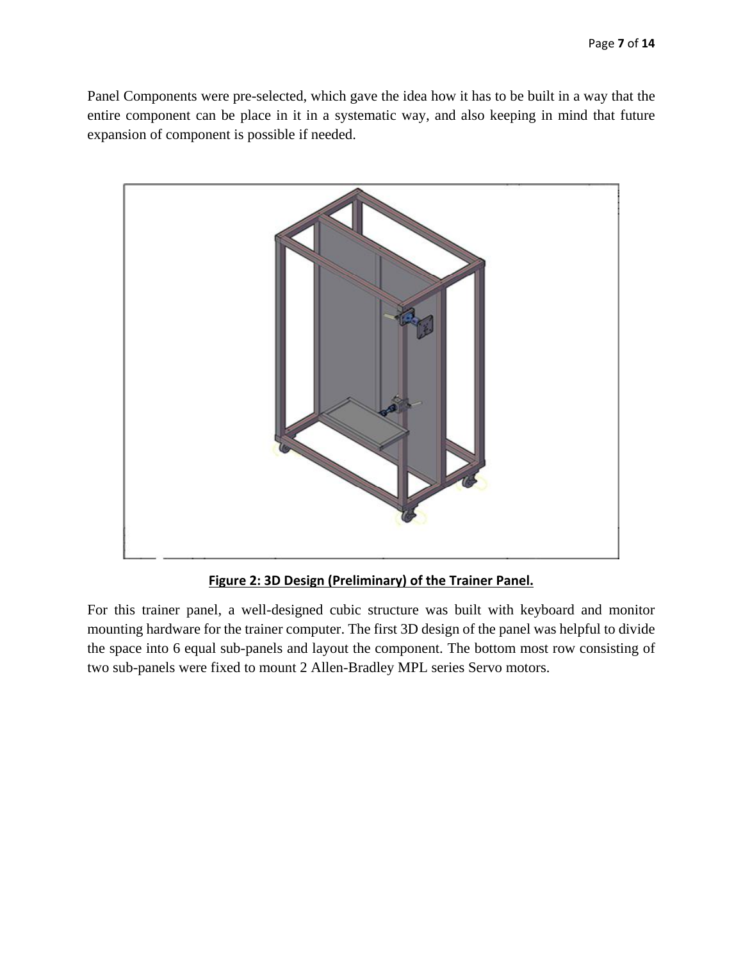Panel Components were pre-selected, which gave the idea how it has to be built in a way that the entire component can be place in it in a systematic way, and also keeping in mind that future expansion of component is possible if needed.



**Figure 2: 3D Design (Preliminary) of the Trainer Panel.**

For this trainer panel, a well-designed cubic structure was built with keyboard and monitor mounting hardware for the trainer computer. The first 3D design of the panel was helpful to divide the space into 6 equal sub-panels and layout the component. The bottom most row consisting of two sub-panels were fixed to mount 2 Allen-Bradley MPL series Servo motors.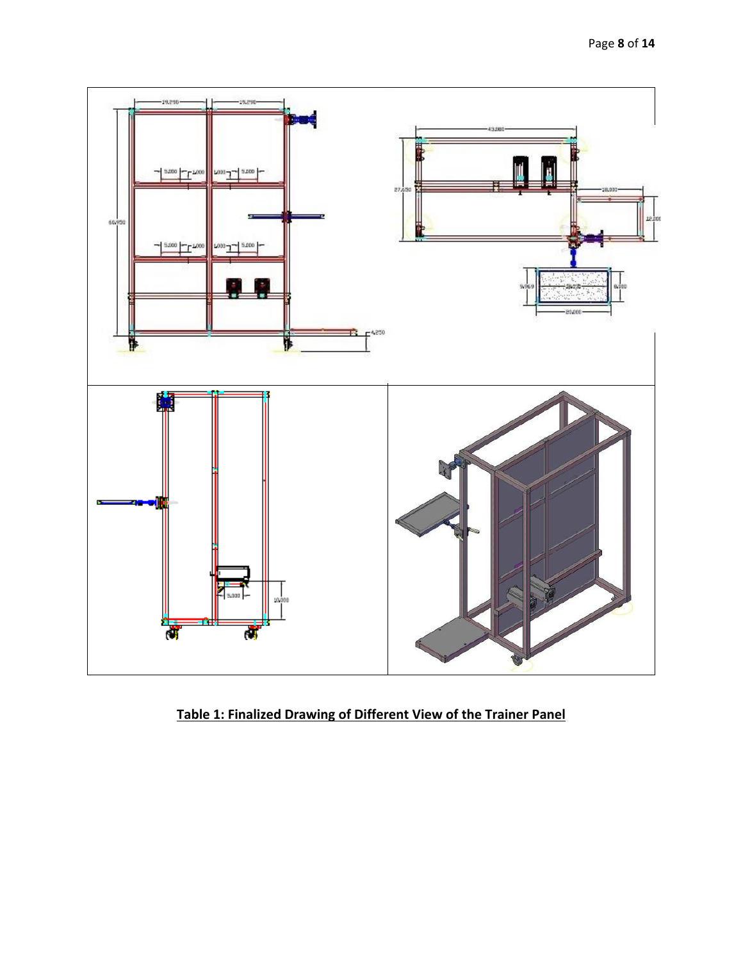

**Table 1: Finalized Drawing of Different View of the Trainer Panel**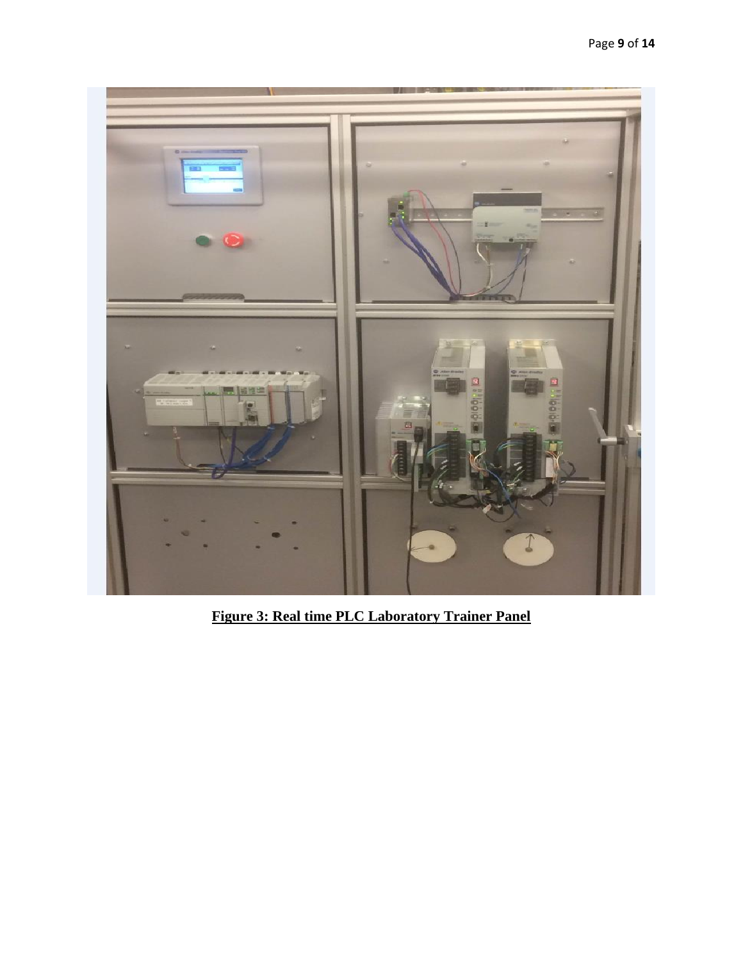

**Figure 3: Real time PLC Laboratory Trainer Panel**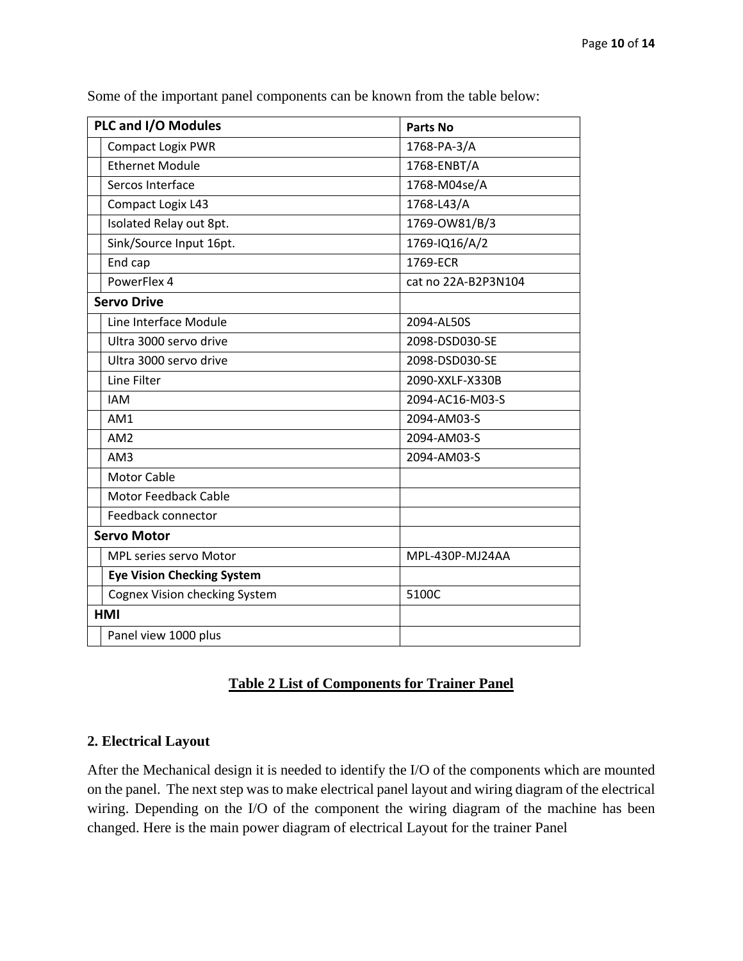| PLC and I/O Modules                  | <b>Parts No</b>     |  |
|--------------------------------------|---------------------|--|
| <b>Compact Logix PWR</b>             | 1768-PA-3/A         |  |
| <b>Ethernet Module</b>               | 1768-ENBT/A         |  |
| Sercos Interface                     | 1768-M04se/A        |  |
| Compact Logix L43                    | 1768-L43/A          |  |
| Isolated Relay out 8pt.              | 1769-OW81/B/3       |  |
| Sink/Source Input 16pt.              | 1769-IQ16/A/2       |  |
| End cap                              | 1769-ECR            |  |
| PowerFlex 4                          | cat no 22A-B2P3N104 |  |
| <b>Servo Drive</b>                   |                     |  |
| Line Interface Module                | 2094-AL50S          |  |
| Ultra 3000 servo drive               | 2098-DSD030-SE      |  |
| Ultra 3000 servo drive               | 2098-DSD030-SE      |  |
| Line Filter                          | 2090-XXLF-X330B     |  |
| <b>IAM</b>                           | 2094-AC16-M03-S     |  |
| AM1                                  | 2094-AM03-S         |  |
| AM <sub>2</sub>                      | 2094-AM03-S         |  |
| AM3                                  | 2094-AM03-S         |  |
| <b>Motor Cable</b>                   |                     |  |
| <b>Motor Feedback Cable</b>          |                     |  |
| Feedback connector                   |                     |  |
| <b>Servo Motor</b>                   |                     |  |
| MPL series servo Motor               | MPL-430P-MJ24AA     |  |
| <b>Eye Vision Checking System</b>    |                     |  |
| <b>Cognex Vision checking System</b> | 5100C               |  |
| <b>HMI</b>                           |                     |  |
| Panel view 1000 plus                 |                     |  |

Some of the important panel components can be known from the table below:

# **Table 2 List of Components for Trainer Panel**

## **2. Electrical Layout**

After the Mechanical design it is needed to identify the I/O of the components which are mounted on the panel. The next step was to make electrical panel layout and wiring diagram of the electrical wiring. Depending on the I/O of the component the wiring diagram of the machine has been changed. Here is the main power diagram of electrical Layout for the trainer Panel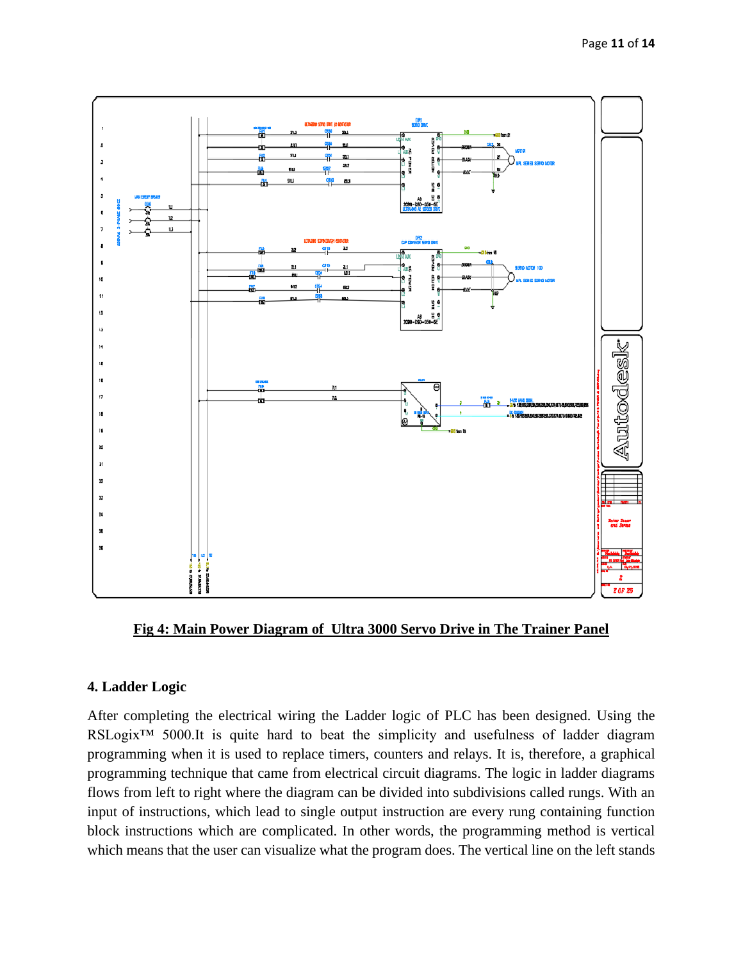

**Fig 4: Main Power Diagram of Ultra 3000 Servo Drive in The Trainer Panel**

#### **4. Ladder Logic**

After completing the electrical wiring the Ladder logic of PLC has been designed. Using the RSLogix™ 5000.It is quite hard to beat the simplicity and usefulness of ladder diagram programming when it is used to replace timers, counters and relays. It is, therefore, a graphical programming technique that came from electrical circuit diagrams. The logic in ladder diagrams flows from left to right where the diagram can be divided into subdivisions called rungs. With an input of instructions, which lead to single output instruction are every rung containing function block instructions which are complicated. In other words, the programming method is vertical which means that the user can visualize what the program does. The vertical line on the left stands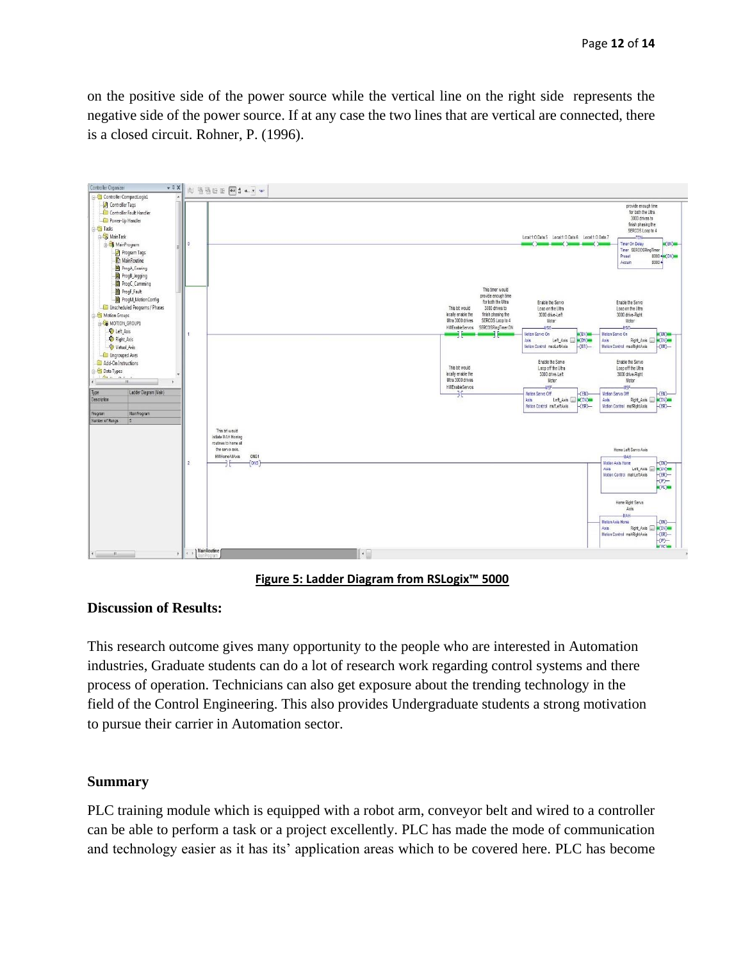on the positive side of the power source while the vertical line on the right side represents the negative side of the power source. If at any case the two lines that are vertical are connected, there is a closed circuit. Rohner, P. (1996).



**Figure 5: Ladder Diagram from RSLogix™ 5000**

#### **Discussion of Results:**

This research outcome gives many opportunity to the people who are interested in Automation industries, Graduate students can do a lot of research work regarding control systems and there process of operation. Technicians can also get exposure about the trending technology in the field of the Control Engineering. This also provides Undergraduate students a strong motivation to pursue their carrier in Automation sector.

#### **Summary**

PLC training module which is equipped with a robot arm, conveyor belt and wired to a controller can be able to perform a task or a project excellently. PLC has made the mode of communication and technology easier as it has its' application areas which to be covered here. PLC has become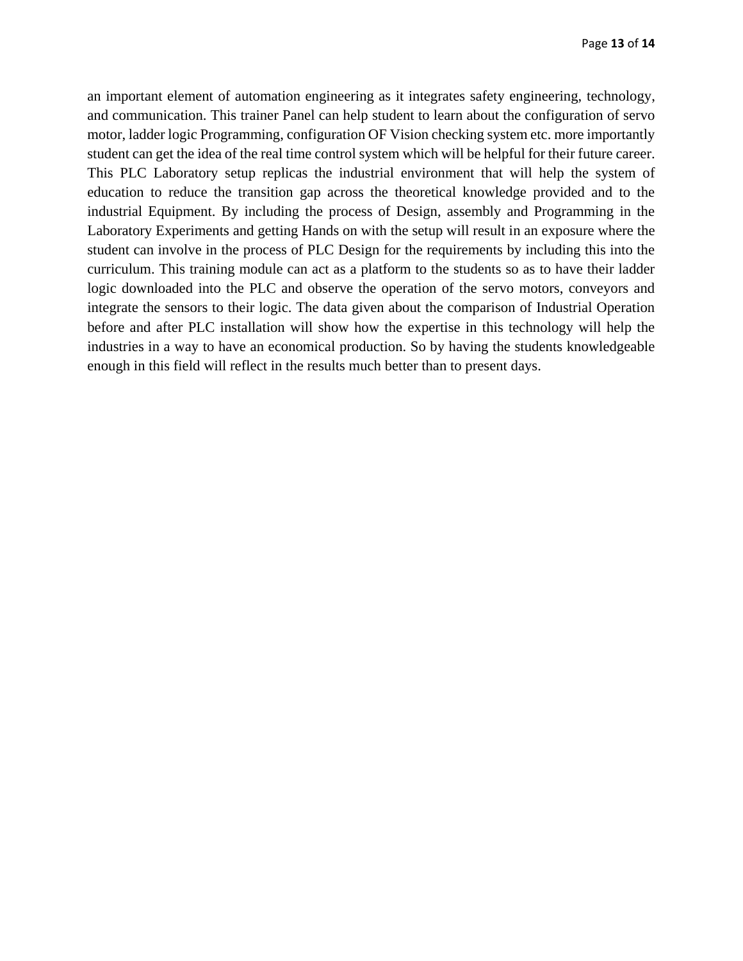an important element of automation engineering as it integrates safety engineering, technology, and communication. This trainer Panel can help student to learn about the configuration of servo motor, ladder logic Programming, configuration OF Vision checking system etc. more importantly student can get the idea of the real time control system which will be helpful for their future career. This PLC Laboratory setup replicas the industrial environment that will help the system of education to reduce the transition gap across the theoretical knowledge provided and to the industrial Equipment. By including the process of Design, assembly and Programming in the Laboratory Experiments and getting Hands on with the setup will result in an exposure where the student can involve in the process of PLC Design for the requirements by including this into the curriculum. This training module can act as a platform to the students so as to have their ladder logic downloaded into the PLC and observe the operation of the servo motors, conveyors and integrate the sensors to their logic. The data given about the comparison of Industrial Operation before and after PLC installation will show how the expertise in this technology will help the industries in a way to have an economical production. So by having the students knowledgeable enough in this field will reflect in the results much better than to present days.